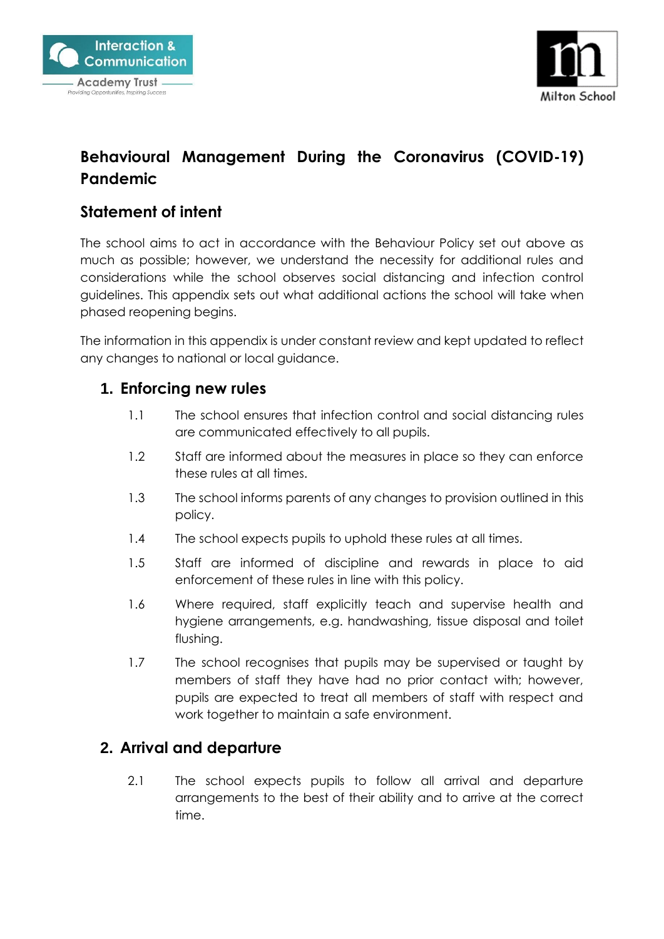



# **Behavioural Management During the Coronavirus (COVID-19) Pandemic**

## **Statement of intent**

The school aims to act in accordance with the Behaviour Policy set out above as much as possible; however, we understand the necessity for additional rules and considerations while the school observes social distancing and infection control guidelines. This appendix sets out what additional actions the school will take when phased reopening begins.

The information in this appendix is under constant review and kept updated to reflect any changes to national or local guidance.

#### **1. Enforcing new rules**

- 1.1 The school ensures that infection control and social distancing rules are communicated effectively to all pupils.
- 1.2 Staff are informed about the measures in place so they can enforce these rules at all times.
- 1.3 The school informs parents of any changes to provision outlined in this policy.
- 1.4 The school expects pupils to uphold these rules at all times.
- 1.5 Staff are informed of discipline and rewards in place to aid enforcement of these rules in line with this policy.
- 1.6 Where required, staff explicitly teach and supervise health and hygiene arrangements, e.g. handwashing, tissue disposal and toilet flushing.
- 1.7 The school recognises that pupils may be supervised or taught by members of staff they have had no prior contact with; however, pupils are expected to treat all members of staff with respect and work together to maintain a safe environment.

#### **2. Arrival and departure**

2.1 The school expects pupils to follow all arrival and departure arrangements to the best of their ability and to arrive at the correct time.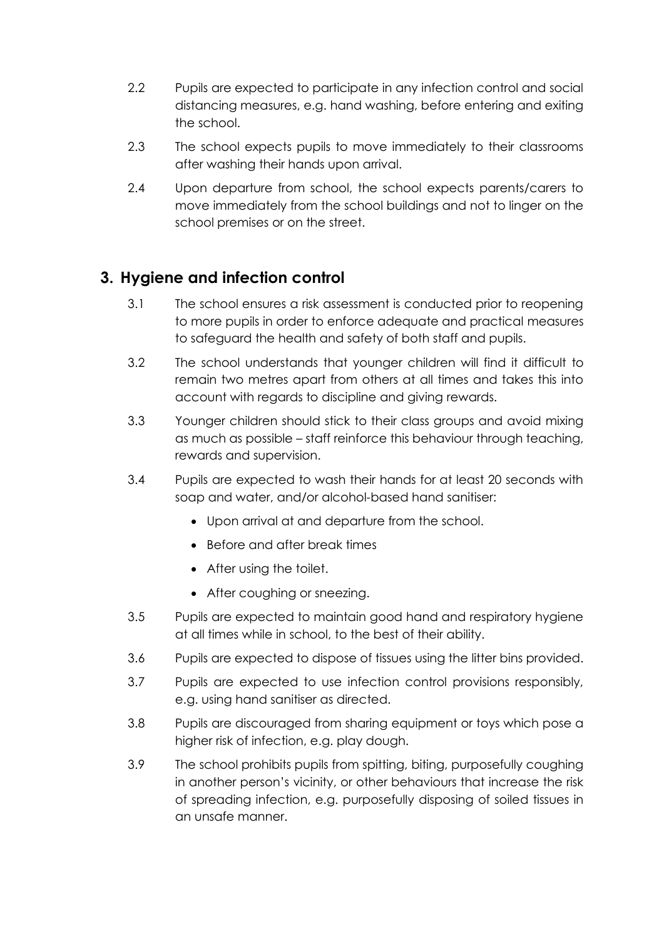- 2.2 Pupils are expected to participate in any infection control and social distancing measures, e.g. hand washing, before entering and exiting the school.
- 2.3 The school expects pupils to move immediately to their classrooms after washing their hands upon arrival.
- 2.4 Upon departure from school, the school expects parents/carers to move immediately from the school buildings and not to linger on the school premises or on the street.

## **3. Hygiene and infection control**

- 3.1 The school ensures a risk assessment is conducted prior to reopening to more pupils in order to enforce adequate and practical measures to safeguard the health and safety of both staff and pupils.
- 3.2 The school understands that younger children will find it difficult to remain two metres apart from others at all times and takes this into account with regards to discipline and giving rewards.
- 3.3 Younger children should stick to their class groups and avoid mixing as much as possible – staff reinforce this behaviour through teaching, rewards and supervision.
- 3.4 Pupils are expected to wash their hands for at least 20 seconds with soap and water, and/or alcohol-based hand sanitiser:
	- Upon arrival at and departure from the school.
	- Before and after break times
	- After using the toilet.
	- After coughing or sneezing.
- 3.5 Pupils are expected to maintain good hand and respiratory hygiene at all times while in school, to the best of their ability.
- 3.6 Pupils are expected to dispose of tissues using the litter bins provided.
- 3.7 Pupils are expected to use infection control provisions responsibly, e.g. using hand sanitiser as directed.
- 3.8 Pupils are discouraged from sharing equipment or toys which pose a higher risk of infection, e.g. play dough.
- 3.9 The school prohibits pupils from spitting, biting, purposefully coughing in another person's vicinity, or other behaviours that increase the risk of spreading infection, e.g. purposefully disposing of soiled tissues in an unsafe manner.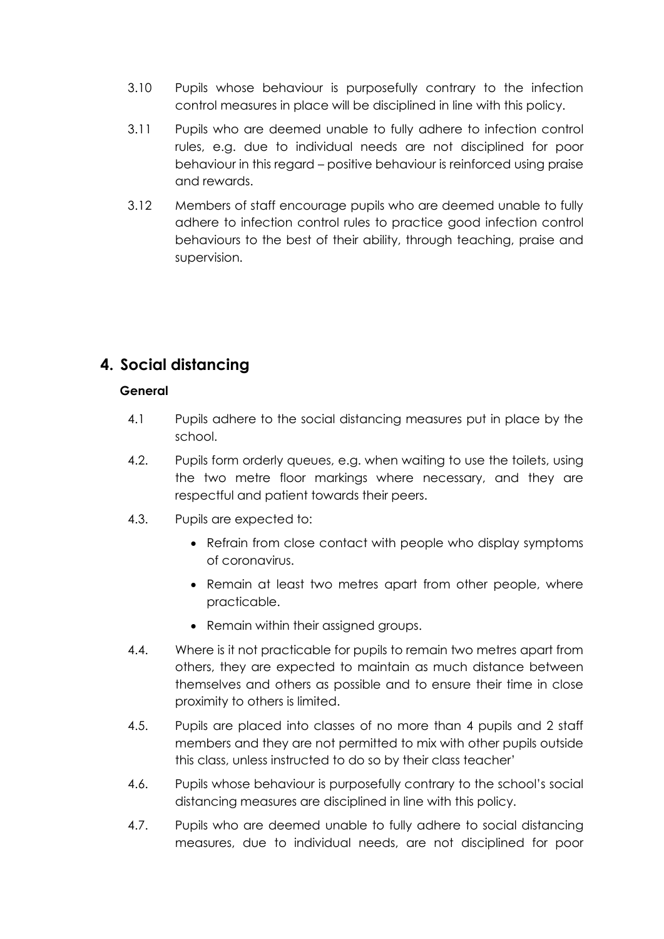- 3.10 Pupils whose behaviour is purposefully contrary to the infection control measures in place will be disciplined in line with this policy.
- 3.11 Pupils who are deemed unable to fully adhere to infection control rules, e.g. due to individual needs are not disciplined for poor behaviour in this regard – positive behaviour is reinforced using praise and rewards.
- 3.12 Members of staff encourage pupils who are deemed unable to fully adhere to infection control rules to practice good infection control behaviours to the best of their ability, through teaching, praise and supervision.

# **4. Social distancing**

#### **General**

- 4.1 Pupils adhere to the social distancing measures put in place by the school.
- 4.2. Pupils form orderly queues, e.g. when waiting to use the toilets, using the two metre floor markings where necessary, and they are respectful and patient towards their peers.
- 4.3. Pupils are expected to:
	- Refrain from close contact with people who display symptoms of coronavirus.
	- Remain at least two metres apart from other people, where practicable.
	- Remain within their assigned groups.
- 4.4. Where is it not practicable for pupils to remain two metres apart from others, they are expected to maintain as much distance between themselves and others as possible and to ensure their time in close proximity to others is limited.
- 4.5. Pupils are placed into classes of no more than 4 pupils and 2 staff members and they are not permitted to mix with other pupils outside this class, unless instructed to do so by their class teacher'
- 4.6. Pupils whose behaviour is purposefully contrary to the school's social distancing measures are disciplined in line with this policy.
- 4.7. Pupils who are deemed unable to fully adhere to social distancing measures, due to individual needs, are not disciplined for poor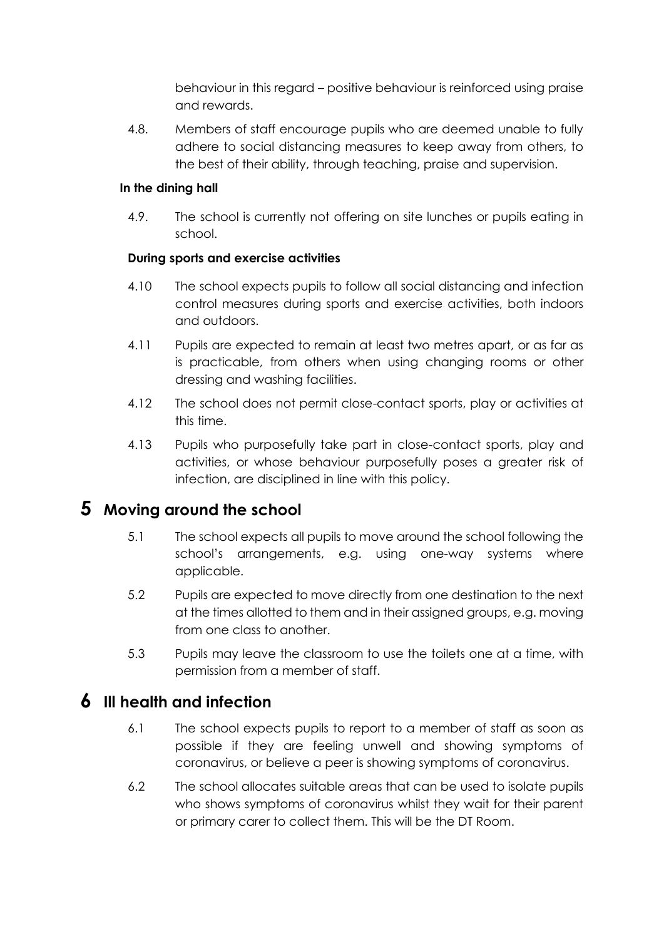behaviour in this regard – positive behaviour is reinforced using praise and rewards.

4.8. Members of staff encourage pupils who are deemed unable to fully adhere to social distancing measures to keep away from others, to the best of their ability, through teaching, praise and supervision.

#### **In the dining hall**

4.9. The school is currently not offering on site lunches or pupils eating in school.

#### **During sports and exercise activities**

- 4.10 The school expects pupils to follow all social distancing and infection control measures during sports and exercise activities, both indoors and outdoors.
- 4.11 Pupils are expected to remain at least two metres apart, or as far as is practicable, from others when using changing rooms or other dressing and washing facilities.
- 4.12 The school does not permit close-contact sports, play or activities at this time.
- 4.13 Pupils who purposefully take part in close-contact sports, play and activities, or whose behaviour purposefully poses a greater risk of infection, are disciplined in line with this policy.

## **5 Moving around the school**

- 5.1 The school expects all pupils to move around the school following the school's arrangements, e.g. using one-way systems where applicable.
- 5.2 Pupils are expected to move directly from one destination to the next at the times allotted to them and in their assigned groups, e.g. moving from one class to another.
- 5.3 Pupils may leave the classroom to use the toilets one at a time, with permission from a member of staff.

## **6 Ill health and infection**

- 6.1 The school expects pupils to report to a member of staff as soon as possible if they are feeling unwell and showing symptoms of coronavirus, or believe a peer is showing symptoms of coronavirus.
- 6.2 The school allocates suitable areas that can be used to isolate pupils who shows symptoms of coronavirus whilst they wait for their parent or primary carer to collect them. This will be the DT Room.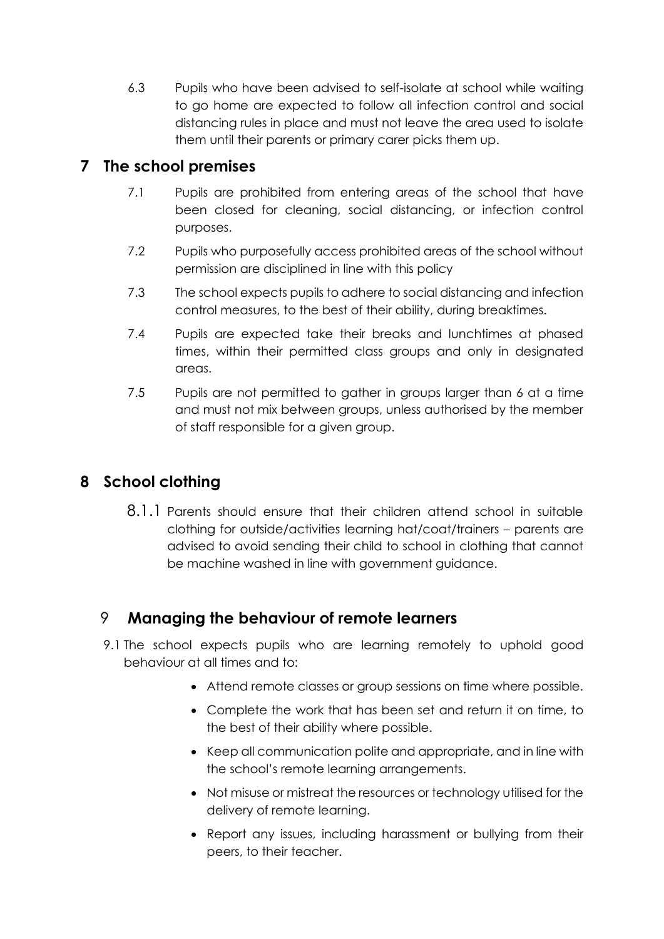6.3 Pupils who have been advised to self-isolate at school while waiting to go home are expected to follow all infection control and social distancing rules in place and must not leave the area used to isolate them until their parents or primary carer picks them up.

## **7 The school premises**

- 7.1 Pupils are prohibited from entering areas of the school that have been closed for cleaning, social distancing, or infection control purposes.
- 7.2 Pupils who purposefully access prohibited areas of the school without permission are disciplined in line with this policy
- 7.3 The school expects pupils to adhere to social distancing and infection control measures, to the best of their ability, during breaktimes.
- 7.4 Pupils are expected take their breaks and lunchtimes at phased times, within their permitted class groups and only in designated areas.
- 7.5 Pupils are not permitted to gather in groups larger than 6 at a time and must not mix between groups, unless authorised by the member of staff responsible for a given group.

## **8 School clothing**

8.1.1 Parents should ensure that their children attend school in suitable clothing for outside/activities learning hat/coat/trainers – parents are advised to avoid sending their child to school in clothing that cannot be machine washed in line with government guidance.

## 9 **Managing the behaviour of remote learners**

- 9.1 The school expects pupils who are learning remotely to uphold good behaviour at all times and to:
	- Attend remote classes or group sessions on time where possible.
	- Complete the work that has been set and return it on time, to the best of their ability where possible.
	- Keep all communication polite and appropriate, and in line with the school's remote learning arrangements.
	- Not misuse or mistreat the resources or technology utilised for the delivery of remote learning.
	- Report any issues, including harassment or bullying from their peers, to their teacher.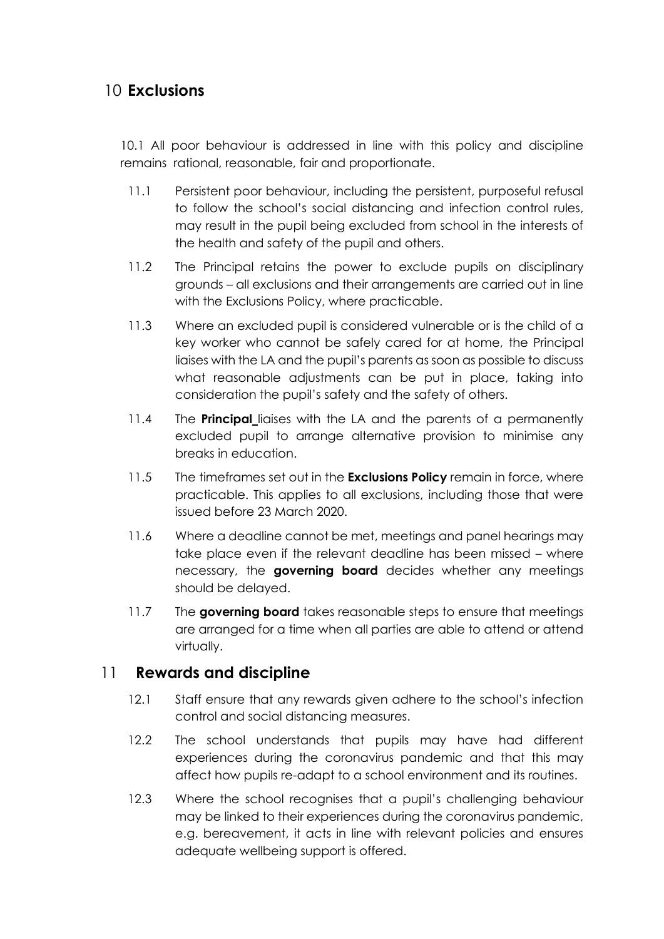## 10 **Exclusions**

10.1 All poor behaviour is addressed in line with this policy and discipline remains rational, reasonable, fair and proportionate.

- 11.1 Persistent poor behaviour, including the persistent, purposeful refusal to follow the school's social distancing and infection control rules, may result in the pupil being excluded from school in the interests of the health and safety of the pupil and others.
- 11.2 The Principal retains the power to exclude pupils on disciplinary grounds – all exclusions and their arrangements are carried out in line with the Exclusions Policy, where practicable.
- 11.3 Where an excluded pupil is considered vulnerable or is the child of a key worker who cannot be safely cared for at home, the Principal liaises with the LA and the pupil's parents as soon as possible to discuss what reasonable adjustments can be put in place, taking into consideration the pupil's safety and the safety of others.
- 11.4 The **Principal** liaises with the LA and the parents of a permanently excluded pupil to arrange alternative provision to minimise any breaks in education.
- 11.5 The timeframes set out in the **Exclusions Policy** remain in force, where practicable. This applies to all exclusions, including those that were issued before 23 March 2020.
- 11.6 Where a deadline cannot be met, meetings and panel hearings may take place even if the relevant deadline has been missed – where necessary, the **governing board** decides whether any meetings should be delayed.
- 11.7 The **governing board** takes reasonable steps to ensure that meetings are arranged for a time when all parties are able to attend or attend virtually.

#### 11 **Rewards and discipline**

- 12.1 Staff ensure that any rewards given adhere to the school's infection control and social distancing measures.
- 12.2 The school understands that pupils may have had different experiences during the coronavirus pandemic and that this may affect how pupils re-adapt to a school environment and its routines.
- 12.3 Where the school recognises that a pupil's challenging behaviour may be linked to their experiences during the coronavirus pandemic, e.g. bereavement, it acts in line with relevant policies and ensures adequate wellbeing support is offered.